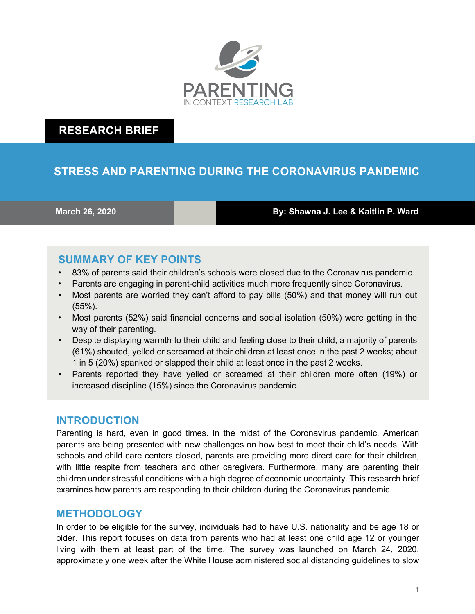

# **RESEARCH BRIEF**

# **STRESS AND PARENTING DURING THE CORONAVIRUS PANDEMIC**

**March 26, 2020 By: Shawna J. Lee & Kaitlin P. Ward**

# **SUMMARY OF KEY POINTS**

- 83% of parents said their children's schools were closed due to the Coronavirus pandemic.
- Parents are engaging in parent-child activities much more frequently since Coronavirus.
- Most parents are worried they can't afford to pay bills (50%) and that money will run out (55%).
- Most parents (52%) said financial concerns and social isolation (50%) were getting in the way of their parenting.
- Despite displaying warmth to their child and feeling close to their child, a majority of parents (61%) shouted, yelled or screamed at their children at least once in the past 2 weeks; about 1 in 5 (20%) spanked or slapped their child at least once in the past 2 weeks.
- Parents reported they have yelled or screamed at their children more often (19%) or increased discipline (15%) since the Coronavirus pandemic.

#### **INTRODUCTION**

Parenting is hard, even in good times. In the midst of the Coronavirus pandemic, American parents are being presented with new challenges on how best to meet their child's needs. With schools and child care centers closed, parents are providing more direct care for their children, with little respite from teachers and other caregivers. Furthermore, many are parenting their children under stressful conditions with a high degree of economic uncertainty. This research brief examines how parents are responding to their children during the Coronavirus pandemic.

#### **METHODOLOGY**

In order to be eligible for the survey, individuals had to have U.S. nationality and be age 18 or older. This report focuses on data from parents who had at least one child age 12 or younger living with them at least part of the time. The survey was launched on March 24, 2020, approximately one week after the White House administered social distancing guidelines to slow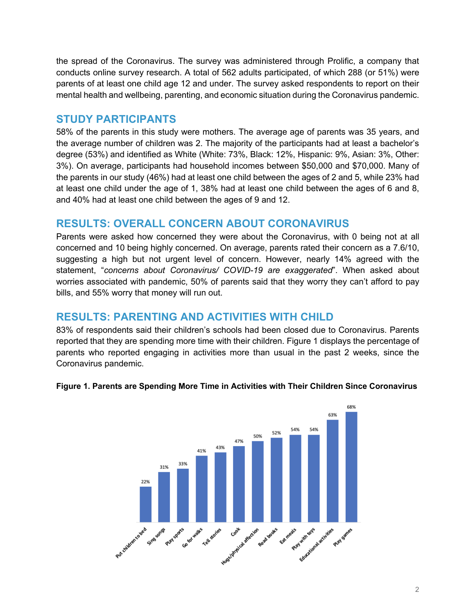the spread of the Coronavirus. The survey was administered through Prolific, a company that conducts online survey research. A total of 562 adults participated, of which 288 (or 51%) were parents of at least one child age 12 and under. The survey asked respondents to report on their mental health and wellbeing, parenting, and economic situation during the Coronavirus pandemic.

### **STUDY PARTICIPANTS**

58% of the parents in this study were mothers. The average age of parents was 35 years, and the average number of children was 2. The majority of the participants had at least a bachelor's degree (53%) and identified as White (White: 73%, Black: 12%, Hispanic: 9%, Asian: 3%, Other: 3%). On average, participants had household incomes between \$50,000 and \$70,000. Many of the parents in our study (46%) had at least one child between the ages of 2 and 5, while 23% had at least one child under the age of 1, 38% had at least one child between the ages of 6 and 8, and 40% had at least one child between the ages of 9 and 12.

### **RESULTS: OVERALL CONCERN ABOUT CORONAVIRUS**

Parents were asked how concerned they were about the Coronavirus, with 0 being not at all concerned and 10 being highly concerned. On average, parents rated their concern as a 7.6/10, suggesting a high but not urgent level of concern. However, nearly 14% agreed with the statement, "*concerns about Coronavirus/ COVID-19 are exaggerated*". When asked about worries associated with pandemic, 50% of parents said that they worry they can't afford to pay bills, and 55% worry that money will run out.

## **RESULTS: PARENTING AND ACTIVITIES WITH CHILD**

83% of respondents said their children's schools had been closed due to Coronavirus. Parents reported that they are spending more time with their children. Figure 1 displays the percentage of parents who reported engaging in activities more than usual in the past 2 weeks, since the Coronavirus pandemic.



#### **Figure 1. Parents are Spending More Time in Activities with Their Children Since Coronavirus**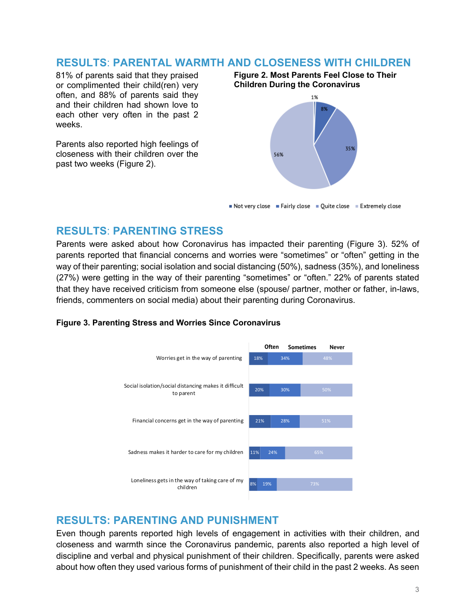#### **RESULTS**: **PARENTAL WARMTH AND CLOSENESS WITH CHILDREN**

81% of parents said that they praised or complimented their child(ren) very often, and 88% of parents said they and their children had shown love to each other very often in the past 2 weeks.

Parents also reported high feelings of closeness with their children over the past two weeks (Figure 2).

**Figure 2. Most Parents Feel Close to Their Children During the Coronavirus**



Not very close  $\blacksquare$  Fairly close  $\blacksquare$  Quite close  $\blacksquare$  Extremely close

#### **RESULTS**: **PARENTING STRESS**

Parents were asked about how Coronavirus has impacted their parenting (Figure 3). 52% of parents reported that financial concerns and worries were "sometimes" or "often" getting in the way of their parenting; social isolation and social distancing (50%), sadness (35%), and loneliness (27%) were getting in the way of their parenting "sometimes" or "often." 22% of parents stated that they have received criticism from someone else (spouse/ partner, mother or father, in-laws, friends, commenters on social media) about their parenting during Coronavirus.

#### **Figure 3. Parenting Stress and Worries Since Coronavirus**



### **RESULTS: PARENTING AND PUNISHMENT**

Even though parents reported high levels of engagement in activities with their children, and closeness and warmth since the Coronavirus pandemic, parents also reported a high level of discipline and verbal and physical punishment of their children. Specifically, parents were asked about how often they used various forms of punishment of their child in the past 2 weeks. As seen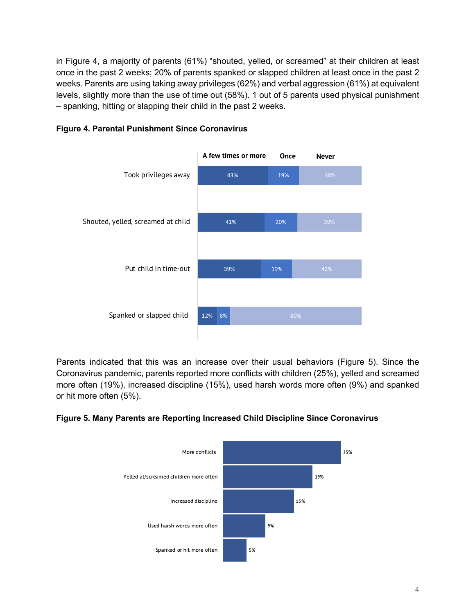in Figure 4, a majority of parents (61%) "shouted, yelled, or screamed" at their children at least once in the past 2 weeks; 20% of parents spanked or slapped children at least once in the past 2 weeks. Parents are using taking away privileges (62%) and verbal aggression (61%) at equivalent levels, slightly more than the use of time out (58%). 1 out of 5 parents used physical punishment – spanking, hitting or slapping their child in the past 2 weeks.



#### **Figure 4. Parental Punishment Since Coronavirus**

Parents indicated that this was an increase over their usual behaviors (Figure 5). Since the Coronavirus pandemic, parents reported more conflicts with children (25%), yelled and screamed more often (19%), increased discipline (15%), used harsh words more often (9%) and spanked or hit more often (5%).

#### **Figure 5. Many Parents are Reporting Increased Child Discipline Since Coronavirus**

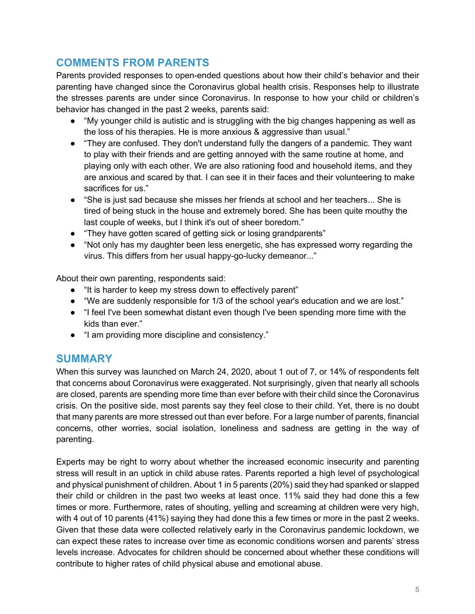# **COMMENTS FROM PARENTS**

Parents provided responses to open-ended questions about how their child's behavior and their parenting have changed since the Coronavirus global health crisis. Responses help to illustrate the stresses parents are under since Coronavirus. In response to how your child or children's behavior has changed in the past 2 weeks, parents said:

- "My younger child is autistic and is struggling with the big changes happening as well as the loss of his therapies. He is more anxious & aggressive than usual."
- "They are confused. They don't understand fully the dangers of a pandemic. They want to play with their friends and are getting annoyed with the same routine at home, and playing only with each other. We are also rationing food and household items, and they are anxious and scared by that. I can see it in their faces and their volunteering to make sacrifices for us."
- "She is just sad because she misses her friends at school and her teachers... She is tired of being stuck in the house and extremely bored. She has been quite mouthy the last couple of weeks, but I think it's out of sheer boredom."
- "They have gotten scared of getting sick or losing grandparents"
- "Not only has my daughter been less energetic, she has expressed worry regarding the virus. This differs from her usual happy-go-lucky demeanor..."

About their own parenting, respondents said:

- "It is harder to keep my stress down to effectively parent"
- "We are suddenly responsible for 1/3 of the school year's education and we are lost."
- "I feel I've been somewhat distant even though I've been spending more time with the kids than ever."
- "I am providing more discipline and consistency."

### **SUMMARY**

When this survey was launched on March 24, 2020, about 1 out of 7, or 14% of respondents felt that concerns about Coronavirus were exaggerated. Not surprisingly, given that nearly all schools are closed, parents are spending more time than ever before with their child since the Coronavirus crisis. On the positive side, most parents say they feel close to their child. Yet, there is no doubt that many parents are more stressed out than ever before. For a large number of parents, financial concerns, other worries, social isolation, loneliness and sadness are getting in the way of parenting.

Experts may be right to worry about whether the increased economic insecurity and parenting stress will result in an uptick in child abuse rates. Parents reported a high level of psychological and physical punishment of children. About 1 in 5 parents (20%) said they had spanked or slapped their child or children in the past two weeks at least once. 11% said they had done this a few times or more. Furthermore, rates of shouting, yelling and screaming at children were very high, with 4 out of 10 parents (41%) saying they had done this a few times or more in the past 2 weeks. Given that these data were collected relatively early in the Coronavirus pandemic lockdown, we can expect these rates to increase over time as economic conditions worsen and parents' stress levels increase. Advocates for children should be concerned about whether these conditions will contribute to higher rates of child physical abuse and emotional abuse.